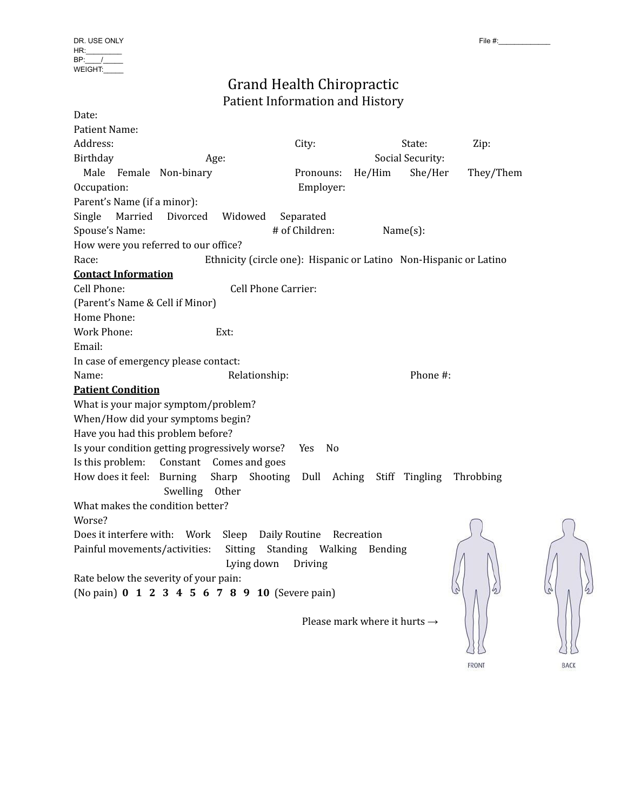# Grand Health Chiropractic Patient Information and History

| Date:                           |                                                |                            |                                                                   |           |
|---------------------------------|------------------------------------------------|----------------------------|-------------------------------------------------------------------|-----------|
| Patient Name:                   |                                                |                            |                                                                   |           |
| Address:                        |                                                | City:                      | State:                                                            | Zip:      |
| Birthday                        | Age:                                           |                            | Social Security:                                                  |           |
| Male Female Non-binary          |                                                | Pronouns:                  | She/Her<br>$He/H$ im                                              | They/Them |
| Occupation:                     |                                                | Employer:                  |                                                                   |           |
| Parent's Name (if a minor):     |                                                |                            |                                                                   |           |
| Married<br>Single               | Divorced<br>Widowed                            | Separated                  |                                                                   |           |
| Spouse's Name:                  |                                                | # of Children:             | $Name(s)$ :                                                       |           |
|                                 | How were you referred to our office?           |                            |                                                                   |           |
| Race:                           |                                                |                            | Ethnicity (circle one): Hispanic or Latino Non-Hispanic or Latino |           |
| <b>Contact Information</b>      |                                                |                            |                                                                   |           |
| Cell Phone:                     |                                                | <b>Cell Phone Carrier:</b> |                                                                   |           |
| (Parent's Name & Cell if Minor) |                                                |                            |                                                                   |           |
| Home Phone:                     |                                                |                            |                                                                   |           |
| <b>Work Phone:</b>              | Ext:                                           |                            |                                                                   |           |
| Email:                          |                                                |                            |                                                                   |           |
|                                 | In case of emergency please contact:           |                            |                                                                   |           |
| Name:                           | Relationship:                                  |                            | Phone #:                                                          |           |
| <b>Patient Condition</b>        |                                                |                            |                                                                   |           |
|                                 | What is your major symptom/problem?            |                            |                                                                   |           |
|                                 | When/How did your symptoms begin?              |                            |                                                                   |           |
|                                 | Have you had this problem before?              |                            |                                                                   |           |
|                                 | Is your condition getting progressively worse? | Yes<br>N <sub>0</sub>      |                                                                   |           |
| Is this problem:                | Constant Comes and goes                        |                            |                                                                   |           |
| How does it feel:               | <b>Burning</b><br>Sharp                        | Shooting<br>Dull           | Aching<br>Stiff Tingling                                          | Throbbing |
|                                 | Swelling Other                                 |                            |                                                                   |           |
|                                 | What makes the condition better?               |                            |                                                                   |           |
| Worse?                          |                                                |                            |                                                                   |           |
| Does it interfere with:         | Work<br>Sleep                                  | Daily Routine              | Recreation                                                        |           |
| Painful movements/activities:   | Sitting                                        | Standing Walking           | Bending                                                           |           |
|                                 | Lying down                                     | Driving                    |                                                                   |           |
|                                 | Rate below the severity of your pain:          |                            |                                                                   |           |
|                                 | (No pain) 0 1 2 3 4 5 6 7 8 9 10 (Severe pain) |                            |                                                                   |           |
|                                 |                                                |                            |                                                                   |           |
|                                 |                                                |                            | Please mark where it hurts $\rightarrow$                          |           |



FRONT

BACK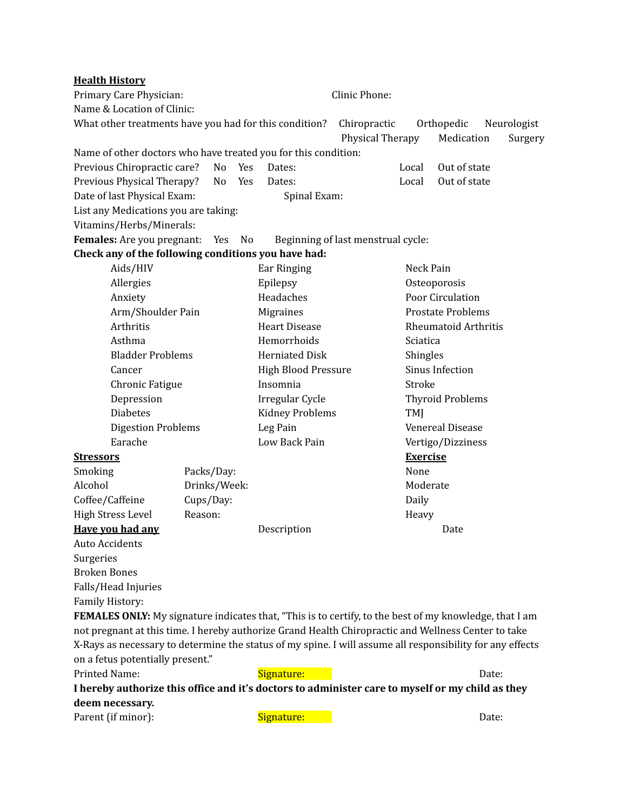| <b>Health History</b>                                                                                         |              |    |        |                                  |                                    |                          |                             |         |  |
|---------------------------------------------------------------------------------------------------------------|--------------|----|--------|----------------------------------|------------------------------------|--------------------------|-----------------------------|---------|--|
| Primary Care Physician:                                                                                       |              |    |        | Clinic Phone:                    |                                    |                          |                             |         |  |
| Name & Location of Clinic:                                                                                    |              |    |        |                                  |                                    |                          |                             |         |  |
| What other treatments have you had for this condition?                                                        |              |    |        | Chiropractic<br>Physical Therapy |                                    | Orthopedic<br>Medication | Neurologist                 | Surgery |  |
| Name of other doctors who have treated you for this condition:                                                |              |    |        |                                  |                                    |                          |                             |         |  |
| Previous Chiropractic care?                                                                                   |              | No | Yes    | Dates:                           |                                    | Local                    | Out of state                |         |  |
| Previous Physical Therapy?                                                                                    |              | No | Yes    | Dates:                           |                                    | Local                    | Out of state                |         |  |
| Date of last Physical Exam:                                                                                   |              |    |        | Spinal Exam:                     |                                    |                          |                             |         |  |
| List any Medications you are taking:                                                                          |              |    |        |                                  |                                    |                          |                             |         |  |
| Vitamins/Herbs/Minerals:                                                                                      |              |    |        |                                  |                                    |                          |                             |         |  |
| Females: Are you pregnant:                                                                                    |              |    | Yes No |                                  | Beginning of last menstrual cycle: |                          |                             |         |  |
| Check any of the following conditions you have had:                                                           |              |    |        |                                  |                                    |                          |                             |         |  |
| Aids/HIV                                                                                                      |              |    |        | Ear Ringing                      |                                    | Neck Pain                |                             |         |  |
| Allergies                                                                                                     |              |    |        | Epilepsy                         |                                    | Osteoporosis             |                             |         |  |
| Anxiety                                                                                                       |              |    |        | Headaches                        |                                    | Poor Circulation         |                             |         |  |
| Arm/Shoulder Pain                                                                                             |              |    |        | Migraines                        |                                    |                          | <b>Prostate Problems</b>    |         |  |
| Arthritis                                                                                                     |              |    |        | <b>Heart Disease</b>             |                                    |                          | <b>Rheumatoid Arthritis</b> |         |  |
| Asthma                                                                                                        |              |    |        | Hemorrhoids                      |                                    | Sciatica                 |                             |         |  |
| <b>Bladder Problems</b>                                                                                       |              |    |        | <b>Herniated Disk</b>            |                                    | Shingles                 |                             |         |  |
| Cancer                                                                                                        |              |    |        | <b>High Blood Pressure</b>       |                                    |                          | Sinus Infection             |         |  |
| Chronic Fatigue                                                                                               |              |    |        | Insomnia                         |                                    | Stroke                   |                             |         |  |
| Depression                                                                                                    |              |    |        | Irregular Cycle                  |                                    |                          | <b>Thyroid Problems</b>     |         |  |
| <b>Diabetes</b>                                                                                               |              |    |        | <b>Kidney Problems</b>           |                                    | TMJ                      |                             |         |  |
| <b>Digestion Problems</b>                                                                                     |              |    |        | Leg Pain                         |                                    |                          | <b>Venereal Disease</b>     |         |  |
| Earache                                                                                                       |              |    |        | Low Back Pain                    |                                    |                          | Vertigo/Dizziness           |         |  |
| <b>Stressors</b>                                                                                              |              |    |        |                                  |                                    | <b>Exercise</b>          |                             |         |  |
| Smoking                                                                                                       | Packs/Day:   |    |        |                                  |                                    | None                     |                             |         |  |
| Alcohol                                                                                                       | Drinks/Week: |    |        |                                  |                                    | Moderate                 |                             |         |  |
| Coffee/Caffeine                                                                                               | Cups/Day:    |    |        |                                  |                                    | Daily                    |                             |         |  |
| <b>High Stress Level</b>                                                                                      | Reason:      |    |        |                                  |                                    | Heavy                    |                             |         |  |
| Have you had any                                                                                              |              |    |        | Description                      |                                    |                          | Date                        |         |  |
| <b>Auto Accidents</b>                                                                                         |              |    |        |                                  |                                    |                          |                             |         |  |
| Surgeries                                                                                                     |              |    |        |                                  |                                    |                          |                             |         |  |
| <b>Broken Bones</b>                                                                                           |              |    |        |                                  |                                    |                          |                             |         |  |
| Falls/Head Injuries                                                                                           |              |    |        |                                  |                                    |                          |                             |         |  |
| Family History:                                                                                               |              |    |        |                                  |                                    |                          |                             |         |  |
| <b>FEMALES ONLY:</b> My signature indicates that, "This is to certify, to the best of my knowledge, that I am |              |    |        |                                  |                                    |                          |                             |         |  |
| not pregnant at this time. I hereby authorize Grand Health Chiropractic and Wellness Center to take           |              |    |        |                                  |                                    |                          |                             |         |  |
| X-Rays as necessary to determine the status of my spine. I will assume all responsibility for any effects     |              |    |        |                                  |                                    |                          |                             |         |  |
| on a fetus potentially present."                                                                              |              |    |        |                                  |                                    |                          |                             |         |  |
| Printed Name:                                                                                                 |              |    |        | Signature:                       |                                    |                          |                             | Date:   |  |

**I hereby authorize this office and it's doctors to administer care to myself or my child as they deem necessary.**

Parent (if minor): Signature: Signature: Date: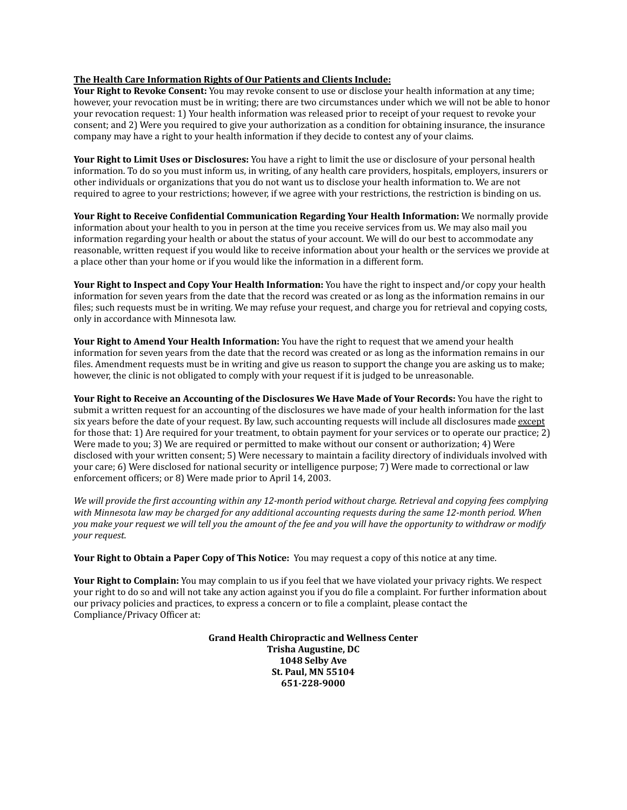#### **The Health Care Information Rights of Our Patients and Clients Include:**

**Your Right to Revoke Consent:** You may revoke consent to use or disclose your health information at any time; however, your revocation must be in writing; there are two circumstances under which we will not be able to honor your revocation request: 1) Your health information was released prior to receipt of your request to revoke your consent; and 2) Were you required to give your authorization as a condition for obtaining insurance, the insurance company may have a right to your health information if they decide to contest any of your claims.

**Your Right to Limit Uses or Disclosures:** You have a right to limit the use or disclosure of your personal health information. To do so you must inform us, in writing, of any health care providers, hospitals, employers, insurers or other individuals or organizations that you do not want us to disclose your health information to. We are not required to agree to your restrictions; however, if we agree with your restrictions, the restriction is binding on us.

**Your Right to Receive Confidential Communication Regarding Your Health Information:** We normally provide information about your health to you in person at the time you receive services from us. We may also mail you information regarding your health or about the status of your account. We will do our best to accommodate any reasonable, written request if you would like to receive information about your health or the services we provide at a place other than your home or if you would like the information in a different form.

**Your Right to Inspect and Copy Your Health Information:** You have the right to inspect and/or copy your health information for seven years from the date that the record was created or as long as the information remains in our files; such requests must be in writing. We may refuse your request, and charge you for retrieval and copying costs, only in accordance with Minnesota law.

**Your Right to Amend Your Health Information:** You have the right to request that we amend your health information for seven years from the date that the record was created or as long as the information remains in our files. Amendment requests must be in writing and give us reason to support the change you are asking us to make; however, the clinic is not obligated to comply with your request if it is judged to be unreasonable.

**Your Right to Receive an Accounting of the Disclosures We Have Made of Your Records:** You have the right to submit a written request for an accounting of the disclosures we have made of your health information for the last six years before the date of your request. By law, such accounting requests will include all disclosures made except for those that: 1) Are required for your treatment, to obtain payment for your services or to operate our practice; 2) Were made to you; 3) We are required or permitted to make without our consent or authorization; 4) Were disclosed with your written consent; 5) Were necessary to maintain a facility directory of individuals involved with your care; 6) Were disclosed for national security or intelligence purpose; 7) Were made to correctional or law enforcement officers; or 8) Were made prior to April 14, 2003.

We will provide the first accounting within any 12-month period without charge. Retrieval and copying fees complying with Minnesota law may be charged for any additional accounting requests during the same 12-month period. When you make your request we will tell you the amount of the fee and you will have the opportunity to withdraw or modify *your request.*

**Your Right to Obtain a Paper Copy of This Notice:** You may request a copy of this notice at any time.

**Your Right to Complain:** You may complain to us if you feel that we have violated your privacy rights. We respect your right to do so and will not take any action against you if you do file a complaint. For further information about our privacy policies and practices, to express a concern or to file a complaint, please contact the Compliance/Privacy Officer at:

> **Grand Health Chiropractic and Wellness Center Trisha Augustine, DC 1048 Selby Ave St. Paul, MN 55104 651-228-9000**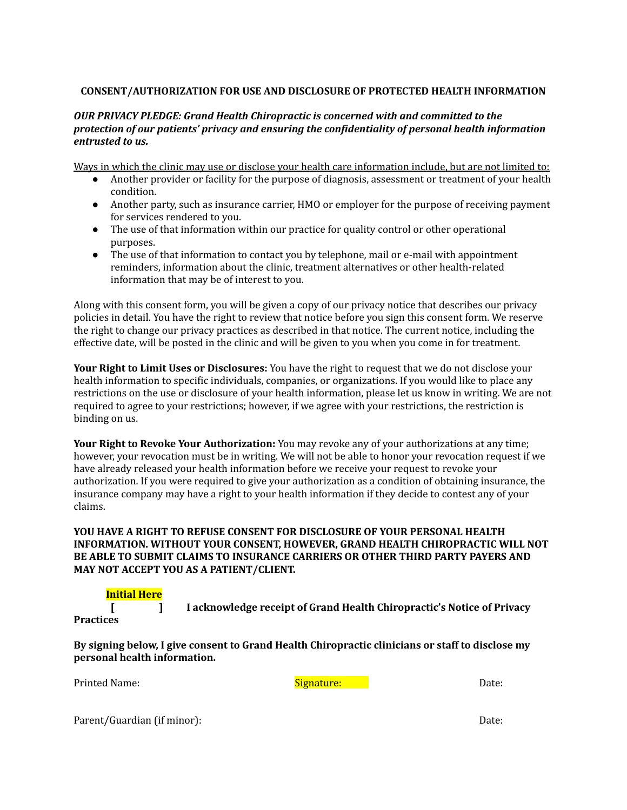### **CONSENT/AUTHORIZATION FOR USE AND DISCLOSURE OF PROTECTED HEALTH INFORMATION**

#### *OUR PRIVACY PLEDGE: Grand Health Chiropractic is concerned with and committed to the protection of our patients' privacy and ensuring the confidentiality of personal health information entrusted to us.*

Ways in which the clinic may use or disclose your health care information include, but are not limited to:

- Another provider or facility for the purpose of diagnosis, assessment or treatment of your health condition.
- Another party, such as insurance carrier, HMO or employer for the purpose of receiving payment for services rendered to you.
- The use of that information within our practice for quality control or other operational purposes.
- The use of that information to contact you by telephone, mail or e-mail with appointment reminders, information about the clinic, treatment alternatives or other health-related information that may be of interest to you.

Along with this consent form, you will be given a copy of our privacy notice that describes our privacy policies in detail. You have the right to review that notice before you sign this consent form. We reserve the right to change our privacy practices as described in that notice. The current notice, including the effective date, will be posted in the clinic and will be given to you when you come in for treatment.

**Your Right to Limit Uses or Disclosures:** You have the right to request that we do not disclose your health information to specific individuals, companies, or organizations. If you would like to place any restrictions on the use or disclosure of your health information, please let us know in writing. We are not required to agree to your restrictions; however, if we agree with your restrictions, the restriction is binding on us.

**Your Right to Revoke Your Authorization:** You may revoke any of your authorizations at any time; however, your revocation must be in writing. We will not be able to honor your revocation request if we have already released your health information before we receive your request to revoke your authorization. If you were required to give your authorization as a condition of obtaining insurance, the insurance company may have a right to your health information if they decide to contest any of your claims.

## **YOU HAVE A RIGHT TO REFUSE CONSENT FOR DISCLOSURE OF YOUR PERSONAL HEALTH INFORMATION. WITHOUT YOUR CONSENT, HOWEVER, GRAND HEALTH CHIROPRACTIC WILL NOT BE ABLE TO SUBMIT CLAIMS TO INSURANCE CARRIERS OR OTHER THIRD PARTY PAYERS AND MAY NOT ACCEPT YOU AS A PATIENT/CLIENT.**

## **Initial Here**

**[ ] I acknowledge receipt of Grand Health Chiropractic's Notice of Privacy Practices**

**By signing below, I give consent to Grand Health Chiropractic clinicians or staff to disclose my personal health information.**

Printed Name: Name: Signature: Signature: Date: Date: Date: Date: Date: Date: Date: Date: Date: Date: Date: Date: Date: Date: Date: Date: Date: Date: Date: Date: Date: Date: Date: Date: Date: Date: Date: Date: Date: Date:

Parent/Guardian (if minor): Date: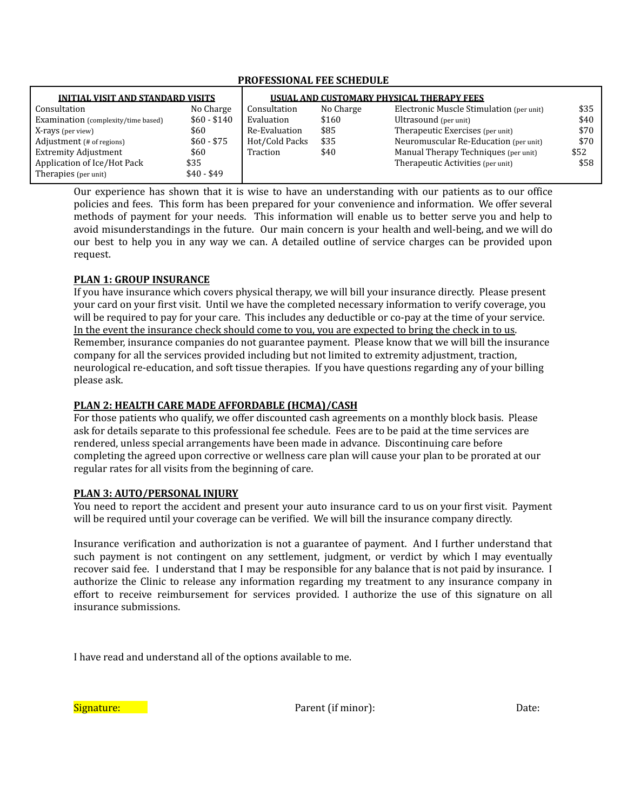## **PROFESSIONAL FEE SCHEDULE**

| <b>INITIAL VISIT AND STANDARD VISITS</b> |              | USUAL AND CUSTOMARY PHYSICAL THERAPY FEES |           |                                          |      |
|------------------------------------------|--------------|-------------------------------------------|-----------|------------------------------------------|------|
| Consultation                             | No Charge    | Consultation                              | No Charge | Electronic Muscle Stimulation (per unit) | \$35 |
| Examination (complexity/time based)      | $$60 - $140$ | Evaluation                                | \$160     | Ultrasound (per unit)                    | \$40 |
| X-rays (per view)                        | \$60         | Re-Evaluation                             | \$85      | Therapeutic Exercises (per unit)         | \$70 |
| Adjustment (# of regions)                | $$60 - $75$  | Hot/Cold Packs                            | \$35      | Neuromuscular Re-Education (per unit)    | \$70 |
| <b>Extremity Adjustment</b>              | \$60         | Traction                                  | \$40      | Manual Therapy Techniques (per unit)     | \$52 |
| Application of Ice/Hot Pack              | \$35         |                                           |           | Therapeutic Activities (per unit)        | \$58 |
| Therapies (per unit)                     | $$40 - $49$  |                                           |           |                                          |      |

Our experience has shown that it is wise to have an understanding with our patients as to our office policies and fees. This form has been prepared for your convenience and information. We offer several methods of payment for your needs. This information will enable us to better serve you and help to avoid misunderstandings in the future. Our main concern is your health and well-being, and we will do our best to help you in any way we can. A detailed outline of service charges can be provided upon request.

## **PLAN 1: GROUP INSURANCE**

If you have insurance which covers physical therapy, we will bill your insurance directly. Please present your card on your first visit. Until we have the completed necessary information to verify coverage, you will be required to pay for your care. This includes any deductible or co-pay at the time of your service. In the event the insurance check should come to you, you are expected to bring the check in to us. Remember, insurance companies do not guarantee payment. Please know that we will bill the insurance company for all the services provided including but not limited to extremity adjustment, traction, neurological re-education, and soft tissue therapies. If you have questions regarding any of your billing please ask.

## **PLAN 2: HEALTH CARE MADE AFFORDABLE (HCMA)/CASH**

For those patients who qualify, we offer discounted cash agreements on a monthly block basis. Please ask for details separate to this professional fee schedule. Fees are to be paid at the time services are rendered, unless special arrangements have been made in advance. Discontinuing care before completing the agreed upon corrective or wellness care plan will cause your plan to be prorated at our regular rates for all visits from the beginning of care.

## **PLAN 3: AUTO/PERSONAL INJURY**

You need to report the accident and present your auto insurance card to us on your first visit. Payment will be required until your coverage can be verified. We will bill the insurance company directly.

Insurance verification and authorization is not a guarantee of payment. And I further understand that such payment is not contingent on any settlement, judgment, or verdict by which I may eventually recover said fee. I understand that I may be responsible for any balance that is not paid by insurance. I authorize the Clinic to release any information regarding my treatment to any insurance company in effort to receive reimbursement for services provided. I authorize the use of this signature on all insurance submissions.

I have read and understand all of the options available to me.

Signature: Definition of the extension of the Parent (if minor): Date: Date: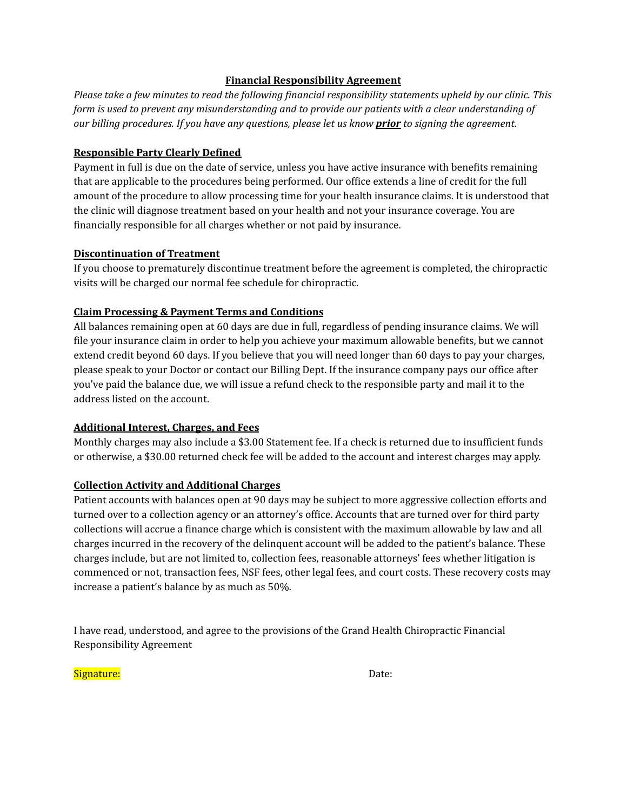## **Financial Responsibility Agreement**

*Please take a few minutes to read the following financial responsibility statements upheld by our clinic. This form is used to prevent any misunderstanding and to provide our patients with a clear understanding of our billing procedures. If you have any questions, please let us know prior to signing the agreement.*

## **Responsible Party Clearly Defined**

Payment in full is due on the date of service, unless you have active insurance with benefits remaining that are applicable to the procedures being performed. Our office extends a line of credit for the full amount of the procedure to allow processing time for your health insurance claims. It is understood that the clinic will diagnose treatment based on your health and not your insurance coverage. You are financially responsible for all charges whether or not paid by insurance.

## **Discontinuation of Treatment**

If you choose to prematurely discontinue treatment before the agreement is completed, the chiropractic visits will be charged our normal fee schedule for chiropractic.

# **Claim Processing & Payment Terms and Conditions**

All balances remaining open at 60 days are due in full, regardless of pending insurance claims. We will file your insurance claim in order to help you achieve your maximum allowable benefits, but we cannot extend credit beyond 60 days. If you believe that you will need longer than 60 days to pay your charges, please speak to your Doctor or contact our Billing Dept. If the insurance company pays our office after you've paid the balance due, we will issue a refund check to the responsible party and mail it to the address listed on the account.

# **Additional Interest, Charges, and Fees**

Monthly charges may also include a \$3.00 Statement fee. If a check is returned due to insufficient funds or otherwise, a \$30.00 returned check fee will be added to the account and interest charges may apply.

# **Collection Activity and Additional Charges**

Patient accounts with balances open at 90 days may be subject to more aggressive collection efforts and turned over to a collection agency or an attorney's office. Accounts that are turned over for third party collections will accrue a finance charge which is consistent with the maximum allowable by law and all charges incurred in the recovery of the delinquent account will be added to the patient's balance. These charges include, but are not limited to, collection fees, reasonable attorneys' fees whether litigation is commenced or not, transaction fees, NSF fees, other legal fees, and court costs. These recovery costs may increase a patient's balance by as much as 50%.

I have read, understood, and agree to the provisions of the Grand Health Chiropractic Financial Responsibility Agreement

Signature: **Signature:** The contract of the contract of the contract of the contract of the contract of the contract of the contract of the contract of the contract of the contract of the contract of the contract of the co